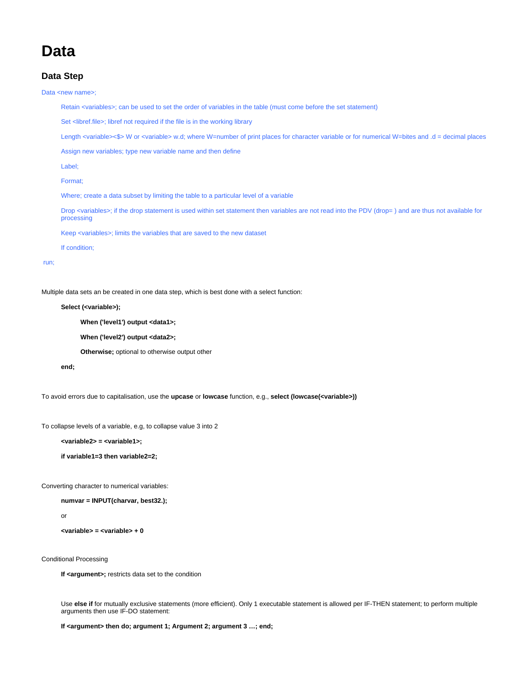# **Data**

## **Data Step**

Data <new name>;

Retain <variables>; can be used to set the order of variables in the table (must come before the set statement)

Set <libref.file>; libref not required if the file is in the working library

Length <variable><\$> W or <variable> w.d; where W=number of print places for character variable or for numerical W=bites and .d = decimal places

Assign new variables; type new variable name and then define

Label;

Format;

Where; create a data subset by limiting the table to a particular level of a variable

Drop <variables>; if the drop statement is used within set statement then variables are not read into the PDV (drop= ) and are thus not available for processing

Keep <variables>; limits the variables that are saved to the new dataset

If condition;

#### run;

Multiple data sets an be created in one data step, which is best done with a select function:

#### **Select (<variable>);**

**When ('level1') output <data1>;**

**When ('level2') output <data2>;**

**Otherwise;** optional to otherwise output other

**end;**

To avoid errors due to capitalisation, use the **upcase** or **lowcase** function, e.g., **select (lowcase(<variable>))**

To collapse levels of a variable, e.g, to collapse value 3 into 2

**<variable2> = <variable1>;**

**if variable1=3 then variable2=2;**

Converting character to numerical variables:

**numvar = INPUT(charvar, best32.);**

or

**<variable> = <variable> + 0**

Conditional Processing

If <argument>; restricts data set to the condition

Use **else if** for mutually exclusive statements (more efficient). Only 1 executable statement is allowed per IF-THEN statement; to perform multiple arguments then use IF-DO statement:

**If <argument> then do; argument 1; Argument 2; argument 3 …; end;**